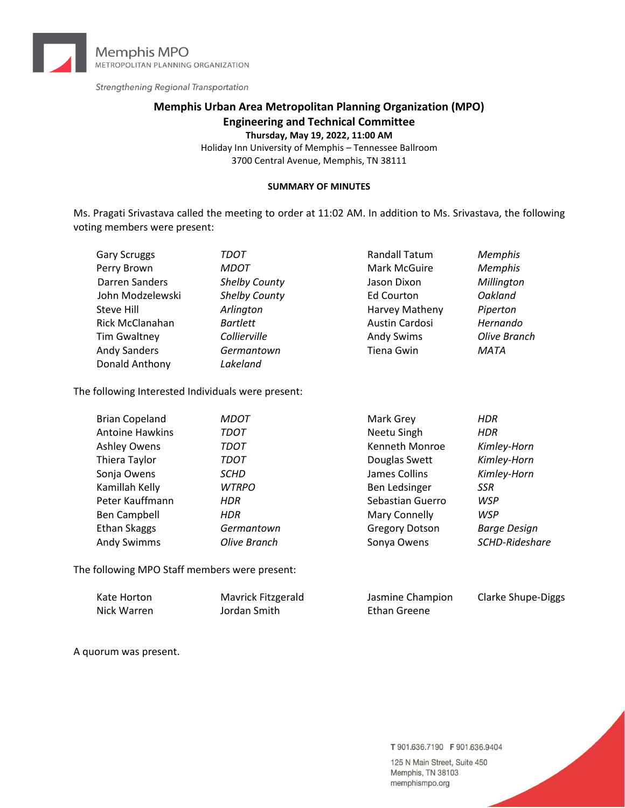

Strengthening Regional Transportation

# **Memphis Urban Area Metropolitan Planning Organization (MPO) Engineering and Technical Committee**

**Thursday, May 19, 2022, 11:00 AM**

Holiday Inn University of Memphis – Tennessee Ballroom 3700 Central Avenue, Memphis, TN 38111

#### **SUMMARY OF MINUTES**

Ms. Pragati Srivastava called the meeting to order at 11:02 AM. In addition to Ms. Srivastava, the following voting members were present:

| TDOT                 | Randall Tatum     | <b>Memphis</b> |
|----------------------|-------------------|----------------|
| <b>MDOT</b>          | Mark McGuire      | <b>Memphis</b> |
| <b>Shelby County</b> | Jason Dixon       | Millington     |
| Shelby County        | <b>Ed Courton</b> | Oakland        |
| Arlington            | Harvey Matheny    | Piperton       |
| <b>Bartlett</b>      | Austin Cardosi    | Hernando       |
| Collierville         | <b>Andy Swims</b> | Olive Branch   |
| Germantown           | Tiena Gwin        | <b>MATA</b>    |
| Lakeland             |                   |                |
|                      |                   |                |

The following Interested Individuals were present:

| <b>Brian Copeland</b>  | <b>MDOT</b>  | Mark Grey             | <b>HDR</b>          |
|------------------------|--------------|-----------------------|---------------------|
| <b>Antoine Hawkins</b> | <b>TDOT</b>  | Neetu Singh           | <b>HDR</b>          |
| <b>Ashley Owens</b>    | <b>TDOT</b>  | Kenneth Monroe        | Kimley-Horn         |
| Thiera Taylor          | <b>TDOT</b>  | Douglas Swett         | Kimley-Horn         |
| Sonja Owens            | <b>SCHD</b>  | James Collins         | Kimley-Horn         |
| Kamillah Kelly         | <b>WTRPO</b> | Ben Ledsinger         | <b>SSR</b>          |
| Peter Kauffmann        | <b>HDR</b>   | Sebastian Guerro      | <b>WSP</b>          |
| Ben Campbell           | <b>HDR</b>   | Mary Connelly         | <b>WSP</b>          |
| <b>Ethan Skaggs</b>    | Germantown   | <b>Gregory Dotson</b> | <b>Barge Design</b> |
| <b>Andy Swimms</b>     | Olive Branch | Sonya Owens           | SCHD-Rideshare      |

The following MPO Staff members were present:

| Kate Horton | Mavrick Fitzgerald | Jasmine Champion | Clarke Shupe-Diggs |
|-------------|--------------------|------------------|--------------------|
| Nick Warren | Jordan Smith       | Ethan Greene     |                    |

A quorum was present.

T 901.636.7190 F 901.636.9404

125 N Main Street, Suite 450 Memphis, TN 38103 memphismpo.org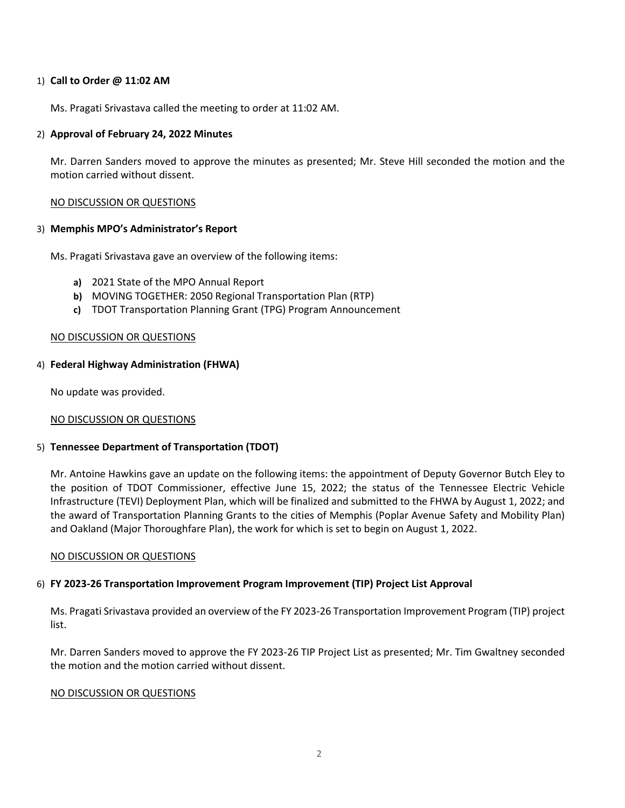### 1) **Call to Order @ 11:02 AM**

Ms. Pragati Srivastava called the meeting to order at 11:02 AM.

### 2) **Approval of February 24, 2022 Minutes**

Mr. Darren Sanders moved to approve the minutes as presented; Mr. Steve Hill seconded the motion and the motion carried without dissent.

### NO DISCUSSION OR QUESTIONS

### 3) **Memphis MPO's Administrator's Report**

Ms. Pragati Srivastava gave an overview of the following items:

- **a)** 2021 State of the MPO Annual Report
- **b)** MOVING TOGETHER: 2050 Regional Transportation Plan (RTP)
- **c)** TDOT Transportation Planning Grant (TPG) Program Announcement

### NO DISCUSSION OR QUESTIONS

### 4) **Federal Highway Administration (FHWA)**

No update was provided.

NO DISCUSSION OR QUESTIONS

## 5) **Tennessee Department of Transportation (TDOT)**

Mr. Antoine Hawkins gave an update on the following items: the appointment of Deputy Governor Butch Eley to the position of TDOT Commissioner, effective June 15, 2022; the status of the Tennessee Electric Vehicle Infrastructure (TEVI) Deployment Plan, which will be finalized and submitted to the FHWA by August 1, 2022; and the award of Transportation Planning Grants to the cities of Memphis (Poplar Avenue Safety and Mobility Plan) and Oakland (Major Thoroughfare Plan), the work for which is set to begin on August 1, 2022.

### NO DISCUSSION OR QUESTIONS

## 6) **FY 2023‐26 Transportation Improvement Program Improvement (TIP) Project List Approval**

Ms. Pragati Srivastava provided an overview of the FY 2023-26 Transportation Improvement Program (TIP) project list.

Mr. Darren Sanders moved to approve the FY 2023-26 TIP Project List as presented; Mr. Tim Gwaltney seconded the motion and the motion carried without dissent.

### NO DISCUSSION OR QUESTIONS